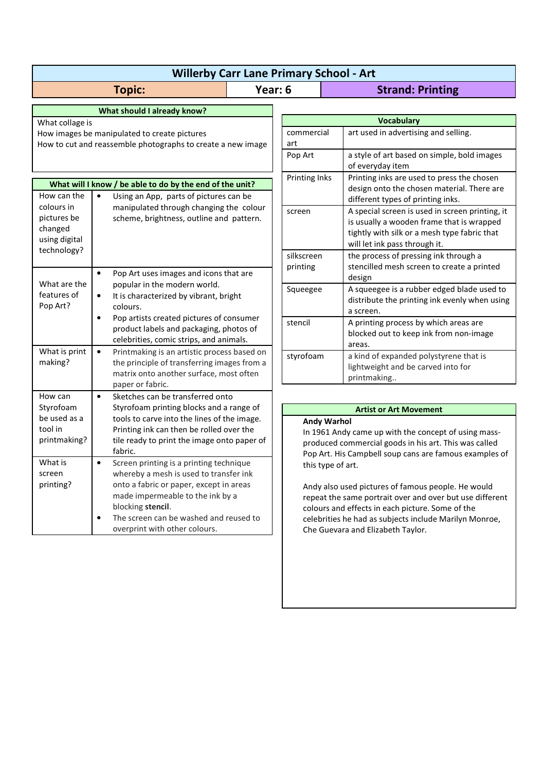| <b>Willerby Carr Lane Primary School - Art</b>              |                                                                                                                                                                        |         |                                                                                                                                                                                                                                |                                                                                                                                                                               |  |
|-------------------------------------------------------------|------------------------------------------------------------------------------------------------------------------------------------------------------------------------|---------|--------------------------------------------------------------------------------------------------------------------------------------------------------------------------------------------------------------------------------|-------------------------------------------------------------------------------------------------------------------------------------------------------------------------------|--|
| <b>Topic:</b>                                               |                                                                                                                                                                        | Year: 6 |                                                                                                                                                                                                                                | <b>Strand: Printing</b>                                                                                                                                                       |  |
| What should I already know?                                 |                                                                                                                                                                        |         |                                                                                                                                                                                                                                |                                                                                                                                                                               |  |
| What collage is                                             |                                                                                                                                                                        |         | <b>Vocabulary</b>                                                                                                                                                                                                              |                                                                                                                                                                               |  |
| How images be manipulated to create pictures                |                                                                                                                                                                        |         | commercial                                                                                                                                                                                                                     | art used in advertising and selling.                                                                                                                                          |  |
| How to cut and reassemble photographs to create a new image |                                                                                                                                                                        |         | art                                                                                                                                                                                                                            |                                                                                                                                                                               |  |
|                                                             |                                                                                                                                                                        |         | Pop Art                                                                                                                                                                                                                        | a style of art based on simple, bold images<br>of everyday item                                                                                                               |  |
| What will I know / be able to do by the end of the unit?    |                                                                                                                                                                        |         | Printing Inks                                                                                                                                                                                                                  | Printing inks are used to press the chosen                                                                                                                                    |  |
| How can the<br>colours in                                   | $\bullet$<br>Using an App, parts of pictures can be                                                                                                                    |         |                                                                                                                                                                                                                                | design onto the chosen material. There are<br>different types of printing inks.                                                                                               |  |
| pictures be<br>changed<br>using digital                     | manipulated through changing the colour<br>scheme, brightness, outline and pattern.                                                                                    |         | screen                                                                                                                                                                                                                         | A special screen is used in screen printing, it<br>is usually a wooden frame that is wrapped<br>tightly with silk or a mesh type fabric that<br>will let ink pass through it. |  |
| technology?                                                 |                                                                                                                                                                        |         | silkscreen                                                                                                                                                                                                                     | the process of pressing ink through a                                                                                                                                         |  |
|                                                             | $\bullet$<br>Pop Art uses images and icons that are                                                                                                                    |         | printing                                                                                                                                                                                                                       | stencilled mesh screen to create a printed<br>design                                                                                                                          |  |
| What are the                                                | popular in the modern world.                                                                                                                                           |         | Squeegee                                                                                                                                                                                                                       | A squeegee is a rubber edged blade used to                                                                                                                                    |  |
| features of<br>Pop Art?                                     | It is characterized by vibrant, bright<br>$\bullet$<br>colours.                                                                                                        |         |                                                                                                                                                                                                                                | distribute the printing ink evenly when using<br>a screen.                                                                                                                    |  |
|                                                             | Pop artists created pictures of consumer<br>$\bullet$<br>product labels and packaging, photos of<br>celebrities, comic strips, and animals.                            |         | stencil                                                                                                                                                                                                                        | A printing process by which areas are<br>blocked out to keep ink from non-image<br>areas.                                                                                     |  |
| What is print<br>making?                                    | $\bullet$<br>Printmaking is an artistic process based on<br>the principle of transferring images from a<br>matrix onto another surface, most often<br>paper or fabric. |         | styrofoam                                                                                                                                                                                                                      | a kind of expanded polystyrene that is<br>lightweight and be carved into for<br>printmaking                                                                                   |  |
| How can                                                     | $\bullet$<br>Sketches can be transferred onto                                                                                                                          |         |                                                                                                                                                                                                                                |                                                                                                                                                                               |  |
| Styrofoam                                                   | Styrofoam printing blocks and a range of                                                                                                                               |         | <b>Artist or Art Movement</b><br><b>Andy Warhol</b><br>In 1961 Andy came up with the concept of using mass-<br>produced commercial goods in his art. This was called<br>Pop Art. His Campbell soup cans are famous examples of |                                                                                                                                                                               |  |
| be used as a<br>tool in<br>printmaking?                     | tools to carve into the lines of the image.<br>Printing ink can then be rolled over the<br>tile ready to print the image onto paper of<br>fabric.                      |         |                                                                                                                                                                                                                                |                                                                                                                                                                               |  |
| What is<br>screen                                           | Screen printing is a printing technique<br>$\bullet$<br>whereby a mesh is used to transfer ink                                                                         |         | this type of art.                                                                                                                                                                                                              |                                                                                                                                                                               |  |
| printing?                                                   | onto a fabric or paper, except in areas<br>made impermeable to the ink by a<br>blocking stencil.                                                                       |         | Andy also used pictures of famous people. He would<br>repeat the same portrait over and over but use different<br>colours and effects in each picture. Some of the                                                             |                                                                                                                                                                               |  |
|                                                             | The screen can be washed and reused to<br>$\bullet$<br>overprint with other colours.                                                                                   |         | celebrities he had as subjects include Marilyn Monroe,<br>Che Guevara and Elizabeth Taylor.                                                                                                                                    |                                                                                                                                                                               |  |
|                                                             |                                                                                                                                                                        |         |                                                                                                                                                                                                                                |                                                                                                                                                                               |  |